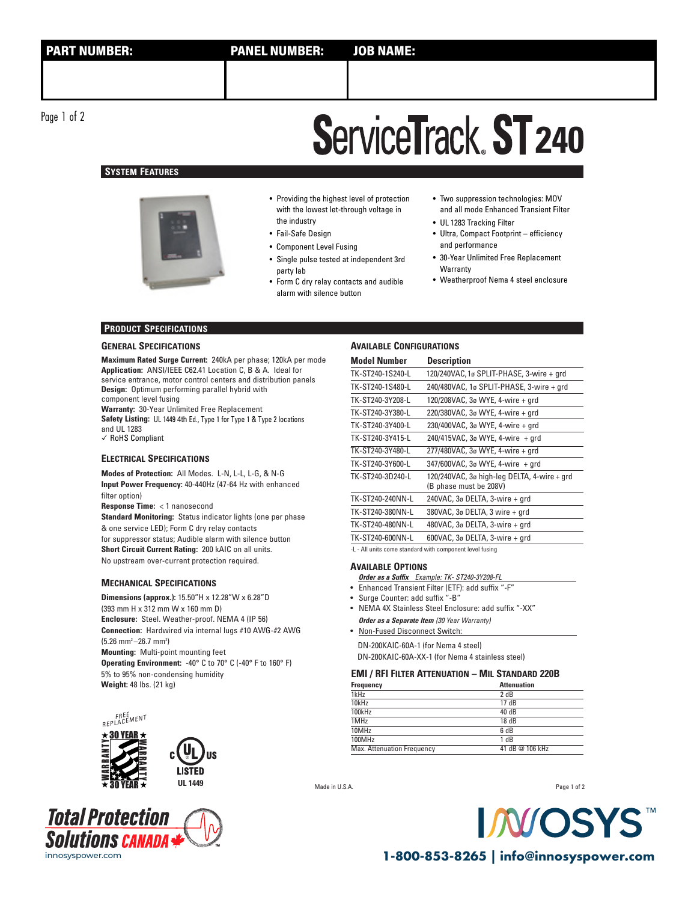Page 1 of 2

# **ServiceTrack ST 240**

# **SYSTEM FEATURES**



• Providing the highest level of protection with the lowest let-through voltage in the industry

- Fail-Safe Design
- Component Level Fusing
- Single pulse tested at independent 3rd party lab
- Form C dry relay contacts and audible alarm with silence button
- Two suppression technologies: MOV and all mode Enhanced Transient Filter
- UL 1283 Tracking Filter • Ultra, Compact Footprint – efficiency
- and performance
- 30-Year Unlimited Free Replacement **Warranty**
- Weatherproof Nema 4 steel enclosure

# **PRODUCT SPECIFICATIONS**

#### **GENERAL SPECIFICATIONS**

**Maximum Rated Surge Current:** 240kA per phase; 120kA per mode **Application:** ANSI/IEEE C62.41 Location C, B & A. Ideal for service entrance, motor control centers and distribution panels **Design:** Optimum performing parallel hybrid with component level fusing **Warranty:** 30-Year Unlimited Free Replacement **Safety Listing:** UL 1449 4th Ed., Type 1 for Type 1 & Type 2 locations and UL 1283 ✓ RoHS Compliant

# **ELECTRICAL SPECIFICATIONS**

**Modes of Protection:** All Modes. L-N, L-L, L-G, & N-G **Input Power Frequency:** 40-440Hz (47-64 Hz with enhanced filter option)

**Response Time: < 1 nanosecond** 

**Standard Monitoring:** Status indicator lights (one per phase & one service LED); Form C dry relay contacts for suppressor status; Audible alarm with silence button **Short Circuit Current Rating:** 200 kAIC on all units. No upstream over-current protection required.

#### **MECHANICAL SPECIFICATIONS**

**Dimensions (approx.):** 15.50"H x 12.28"W x 6.28"D (393 mm H x 312 mm W x 160 mm D) **Enclosure:** Steel. Weather-proof. NEMA 4 (IP 56) **Connection:** Hardwired via internal lugs #10 AWG-#2 AWG  $(5.26 \text{ mm}^2 - 26.7 \text{ mm}^2)$ **Mounting:** Multi-point mounting feet **Operating Environment:** -40° C to 70° C (-40° F to 160° F) 5% to 95% non-condensing humidity **Weight:** 48 lbs. (21 kg)

US





### **AVAILABLE CONFIGURATIONS**

| <b>Model Number</b> | <b>Description</b>                                                                                             |
|---------------------|----------------------------------------------------------------------------------------------------------------|
| TK-ST240-1S240-L    | 120/240VAC, 1ø SPLIT-PHASE, 3-wire + grd                                                                       |
| TK-ST240-1S480-L    | 240/480VAC, 1ø SPLIT-PHASE, 3-wire + grd                                                                       |
| TK-ST240-3Y208-L    | 120/208VAC, 3ø WYE, 4-wire + grd                                                                               |
| TK-ST240-3Y380-L    | 220/380VAC, 3ø WYE, 4-wire + grd                                                                               |
| TK-ST240-3Y400-L    | 230/400VAC, 3ø WYE, 4-wire + grd                                                                               |
| TK-ST240-3Y415-L    | 240/415VAC, 3ø WYE, 4-wire + grd                                                                               |
| TK-ST240-3Y480-L    | 277/480VAC, 3ø WYE, 4-wire + grd                                                                               |
| TK-ST240-3Y600-L    | 347/600VAC, 3ø WYE, 4-wire + grd                                                                               |
| TK-ST240-3D240-L    | 120/240VAC, 3ø high-leg DELTA, 4-wire + grd<br>(B phase must be 208V)                                          |
| TK-ST240-240NN-L    | 240VAC, $3\sigma$ DELTA, $3$ -wire $+$ qrd                                                                     |
| TK-ST240-380NN-L    | 380VAC, 3ø DELTA, 3 wire + grd                                                                                 |
| TK-ST240-480NN-L    | 480VAC, 3ø DELTA, 3-wire + grd                                                                                 |
| TK-ST240-600NN-L    | 600VAC, $3\sigma$ DELTA, $3$ -wire + grd                                                                       |
|                     | the service of the contract of the contract of the contract of the contract of the contract of the contract of |

-L - All units come standard with component level fusing

#### **AVAILABLE OPTIONS**

- **Order as a Suffix** Example: TK- ST240-3Y208-FL
- Enhanced Transient Filter (ETF): add suffix "-F"
- Surge Counter: add suffix "-B"
- NEMA 4X Stainless Steel Enclosure: add suffix "-XX" **Order as a Separate Item** (30 Year Warranty)
- Non-Fused Disconnect Switch: DN-200KAIC-60A-1 (for Nema 4 steel)

DN-200KAIC-60A-XX-1 (for Nema 4 stainless steel)

## **EMI / RFI FILTER ATTENUATION – MIL STANDARD 220B**

| <b>Frequency</b>           | <b>Attenuation</b> |
|----------------------------|--------------------|
| 1kHz                       | 2 dB               |
| 10kHz                      | 17 dB              |
| 100kHz                     | 40 dB              |
| 1MHz                       | 18 dB              |
| 10MHz                      | 6 dB               |
| 100MHz                     | 1 dB               |
| Max. Attenuation Frequency | 41 dB @ 106 kHz    |
|                            |                    |

Made in U.S.A.

Page 1 of 2



innosyspower.com **1-800-853-8265 | info@innosyspower.com**